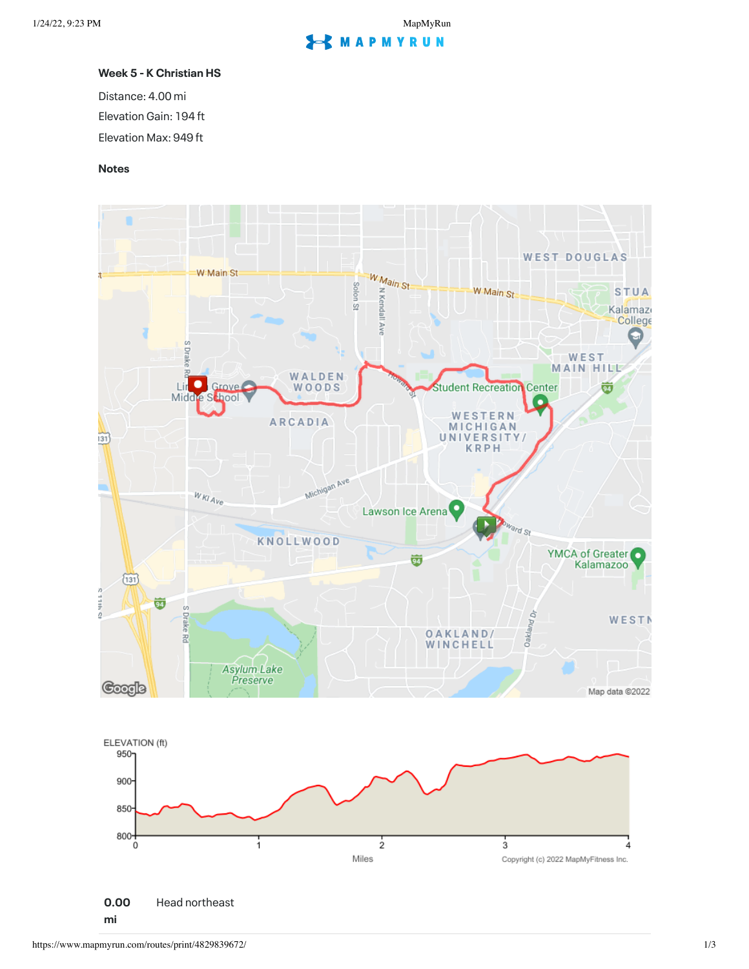## **S** MAPMYRUN

## **Week 5 - K Christian HS**

Distance: 4.00 mi Elevation Gain: 194 ft Elevation Max: 949 ft

## **Notes**

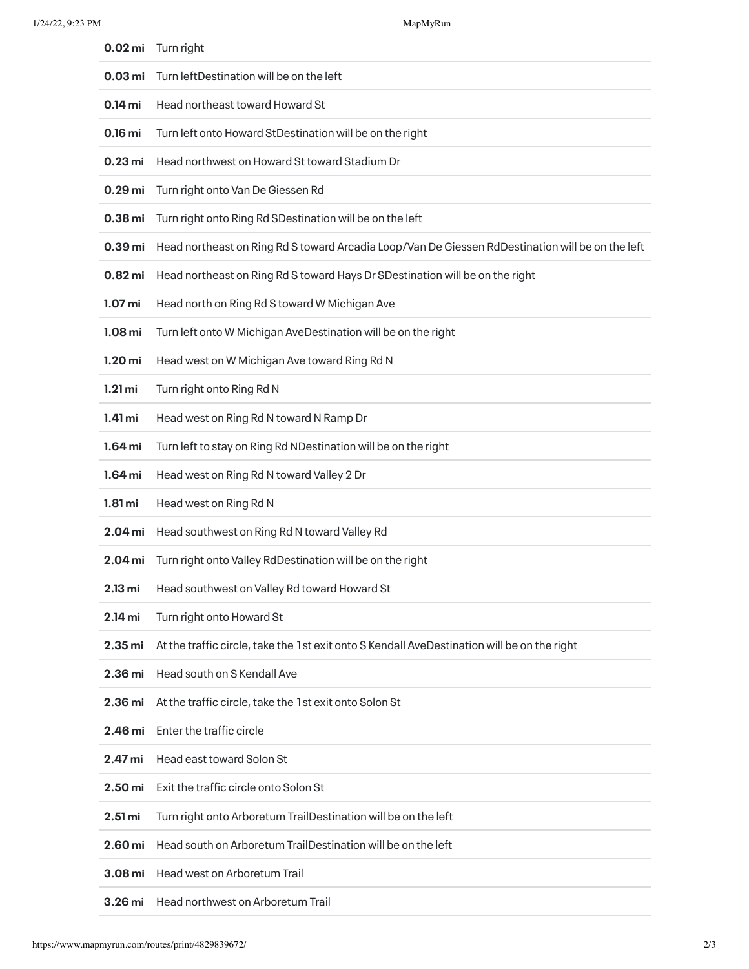| 0.02 <sub>mi</sub>   | Turn right                                                                                       |
|----------------------|--------------------------------------------------------------------------------------------------|
| 0.03 <sub>mi</sub>   | Turn left Destination will be on the left                                                        |
| 0.14 mi              | Head northeast toward Howard St                                                                  |
| 0.16 mi              | Turn left onto Howard StDestination will be on the right                                         |
| $0.23$ mi            | Head northwest on Howard St toward Stadium Dr                                                    |
| 0.29 <sub>mi</sub>   | Turn right onto Van De Giessen Rd                                                                |
| 0.38 mi              | Turn right onto Ring Rd SDestination will be on the left                                         |
| 0.39 <sub>mi</sub>   | Head northeast on Ring Rd S toward Arcadia Loop/Van De Giessen RdDestination will be on the left |
| $0.82$ mi            | Head northeast on Ring Rd S toward Hays Dr SDestination will be on the right                     |
| 1.07 <sub>mi</sub>   | Head north on Ring Rd S toward W Michigan Ave                                                    |
| 1.08 <sub>mi</sub>   | Turn left onto W Michigan AveDestination will be on the right                                    |
| 1.20 <sub>mi</sub>   | Head west on W Michigan Ave toward Ring Rd N                                                     |
| $1.21 \text{ mi}$    | Turn right onto Ring Rd N                                                                        |
| 1.41 mi              | Head west on Ring Rd N toward N Ramp Dr                                                          |
| 1.64 mi              | Turn left to stay on Ring Rd NDestination will be on the right                                   |
| 1.64 mi              | Head west on Ring Rd N toward Valley 2 Dr                                                        |
| $1.81 \,\mathrm{mi}$ | Head west on Ring Rd N                                                                           |
| 2.04 mi              | Head southwest on Ring Rd N toward Valley Rd                                                     |
| 2.04 mi              | Turn right onto Valley RdDestination will be on the right                                        |
|                      | 2.13 mi Head southwest on Valley Rd toward Howard St                                             |
| 2.14 mi              | Turn right onto Howard St                                                                        |
| 2.35 <sub>mi</sub>   | At the traffic circle, take the 1st exit onto S Kendall AveDestination will be on the right      |
| 2.36 mi              | Head south on S Kendall Ave                                                                      |
| 2.36 mi              | At the traffic circle, take the 1st exit onto Solon St                                           |
| 2.46 mi              | Enter the traffic circle                                                                         |
| 2.47 mi              | <b>Head east toward Solon St</b>                                                                 |
| 2.50 <sub>mi</sub>   | Exit the traffic circle onto Solon St                                                            |
| 2.51 <sub>mi</sub>   | Turn right onto Arboretum TrailDestination will be on the left                                   |
| 2.60 mi              | Head south on Arboretum TrailDestination will be on the left                                     |
| 3.08 mi              | <b>Head west on Arboretum Trail</b>                                                              |
| 3.26 mi              | Head northwest on Arboretum Trail                                                                |